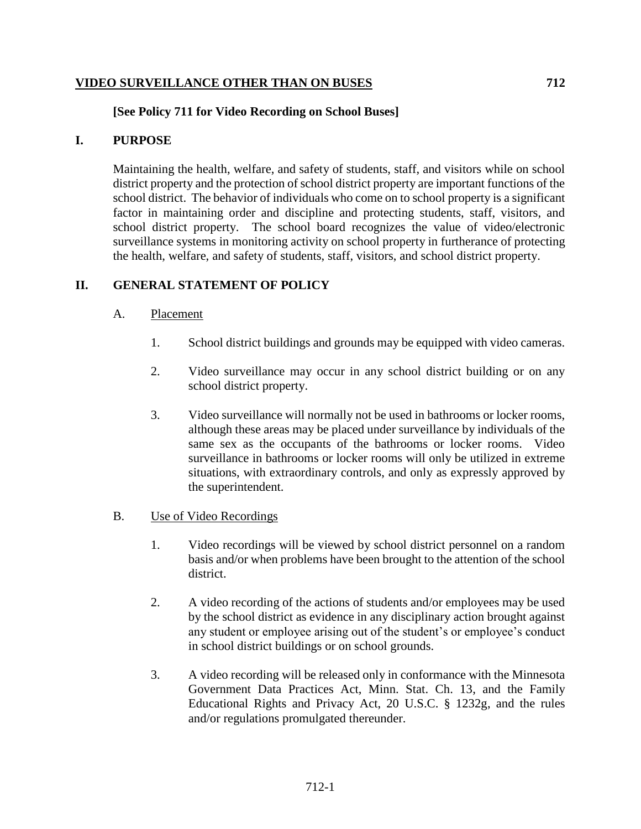## **VIDEO SURVEILLANCE OTHER THAN ON BUSES 712**

# **[See Policy 711 for Video Recording on School Buses]**

## **I. PURPOSE**

Maintaining the health, welfare, and safety of students, staff, and visitors while on school district property and the protection of school district property are important functions of the school district. The behavior of individuals who come on to school property is a significant factor in maintaining order and discipline and protecting students, staff, visitors, and school district property. The school board recognizes the value of video/electronic surveillance systems in monitoring activity on school property in furtherance of protecting the health, welfare, and safety of students, staff, visitors, and school district property.

# **II. GENERAL STATEMENT OF POLICY**

#### A. Placement

- 1. School district buildings and grounds may be equipped with video cameras.
- 2. Video surveillance may occur in any school district building or on any school district property.
- 3. Video surveillance will normally not be used in bathrooms or locker rooms, although these areas may be placed under surveillance by individuals of the same sex as the occupants of the bathrooms or locker rooms. Video surveillance in bathrooms or locker rooms will only be utilized in extreme situations, with extraordinary controls, and only as expressly approved by the superintendent.

## B. Use of Video Recordings

- 1. Video recordings will be viewed by school district personnel on a random basis and/or when problems have been brought to the attention of the school district.
- 2. A video recording of the actions of students and/or employees may be used by the school district as evidence in any disciplinary action brought against any student or employee arising out of the student's or employee's conduct in school district buildings or on school grounds.
- 3. A video recording will be released only in conformance with the Minnesota Government Data Practices Act, Minn. Stat. Ch. 13, and the Family Educational Rights and Privacy Act, 20 U.S.C. § 1232g, and the rules and/or regulations promulgated thereunder.